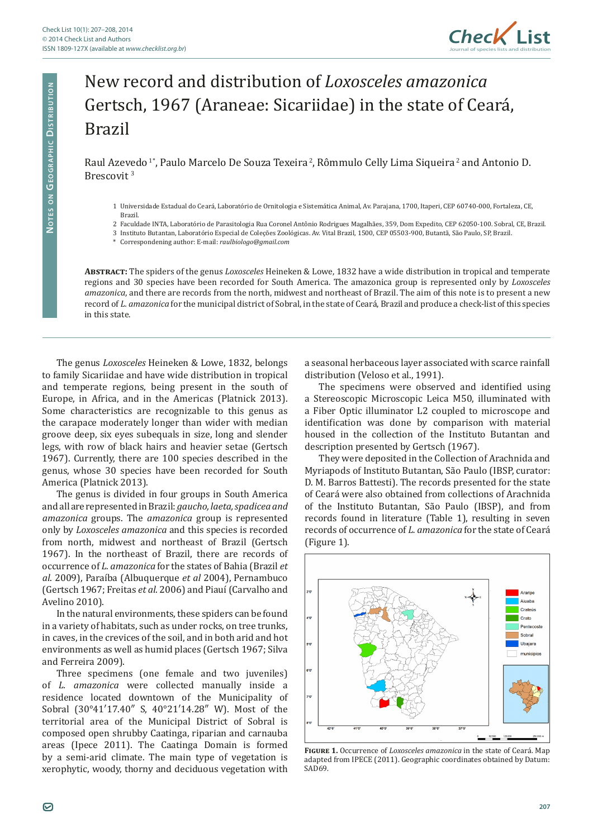

## New record and distribution of *Loxosceles amazonica* Gertsch, 1967 (Araneae: Sicariidae) in the state of Ceará, Brazil

Raul Azevedo<sup>1</sup>\*, Paulo Marcelo De Souza Texeira<sup>2</sup>, Rômmulo Celly Lima Siqueira<sup>2</sup> and Antonio D. Brescovit <sup>3</sup>

1 Universidade Estadual do Ceará, Laboratório de Ornitologia e Sistemática Animal, Av. Parajana, 1700, Itaperi, CEP 60740-000, Fortaleza, CE, Brazil.

2 Faculdade INTA, Laboratório de Parasitologia Rua Coronel Antônio Rodrigues Magalhães, 359, Dom Expedito, CEP 62050-100. Sobral, CE, Brazil.

3 Instituto Butantan, Laboratório Especial de Coleções Zoológicas. Av. Vital Brazil, 1500, CEP 05503-900, Butantã, São Paulo, SP, Brazil.

\* Correspondening author: E-mail: *raulbiologo@gmail.com*

**Abstract:** The spiders of the genus *Loxosceles* Heineken & Lowe, 1832 have a wide distribution in tropical and temperate regions and 30 species have been recorded for South America. The amazonica group is represented only by *Loxosceles amazonica*, and there are records from the north, midwest and northeast of Brazil. The aim of this note is to present a new record of *L. amazonica* for the municipal district of Sobral, in the state of Ceará, Brazil and produce a check-list of this species in this state.

The genus *Loxosceles* Heineken & Lowe, 1832, belongs to family Sicariidae and have wide distribution in tropical and temperate regions, being present in the south of Europe, in Africa, and in the Americas (Platnick 2013). Some characteristics are recognizable to this genus as the carapace moderately longer than wider with median groove deep, six eyes subequals in size, long and slender legs, with row of black hairs and heavier setae (Gertsch 1967). Currently, there are 100 species described in the genus, whose 30 species have been recorded for South America (Platnick 2013).

The genus is divided in four groups in South America and all are represented in Brazil: *gaucho, laeta, spadicea and amazonica* groups. The *amazonica* group is represented only by *Loxosceles amazonica* and this species is recorded from north, midwest and northeast of Brazil (Gertsch 1967). In the northeast of Brazil, there are records of occurrence of *L. amazonica* for the states of Bahia (Brazil *et al*. 2009), Paraíba (Albuquerque *et al* 2004), Pernambuco (Gertsch 1967; Freitas *et al*. 2006) and Piauí (Carvalho and Avelino 2010).

In the natural environments, these spiders can be found in a variety of habitats, such as under rocks, on tree trunks, in caves, in the crevices of the soil, and in both arid and hot environments as well as humid places (Gertsch 1967; Silva and Ferreira 2009).

Three specimens (one female and two juveniles) of *L. amazonica* were collected manually inside a residence located downtown of the Municipality of Sobral (30°41′17.40″ S, 40°21′14.28″ W). Most of the territorial area of the Municipal District of Sobral is composed open shrubby Caatinga, riparian and carnauba areas (Ipece 2011). The Caatinga Domain is formed by a semi-arid climate. The main type of vegetation is xerophytic, woody, thorny and deciduous vegetation with

a seasonal herbaceous layer associated with scarce rainfall distribution (Veloso et al., 1991).

The specimens were observed and identified using a Stereoscopic Microscopic Leica M50, illuminated with a Fiber Optic illuminator L2 coupled to microscope and identification was done by comparison with material housed in the collection of the Instituto Butantan and description presented by Gertsch (1967).

They were deposited in the Collection of Arachnida and Myriapods of Instituto Butantan, São Paulo (IBSP, curator: D. M. Barros Battesti). The records presented for the state of Ceará were also obtained from collections of Arachnida of the Instituto Butantan, São Paulo (IBSP), and from records found in literature (Table 1), resulting in seven records of occurrence of *L. amazonica* for the state of Ceará (Figure 1).



**Figure 1.** Occurrence of *Loxosceles amazonica* in the state of Ceará. Map adapted from IPECE (2011). Geographic coordinates obtained by Datum: SAD69.